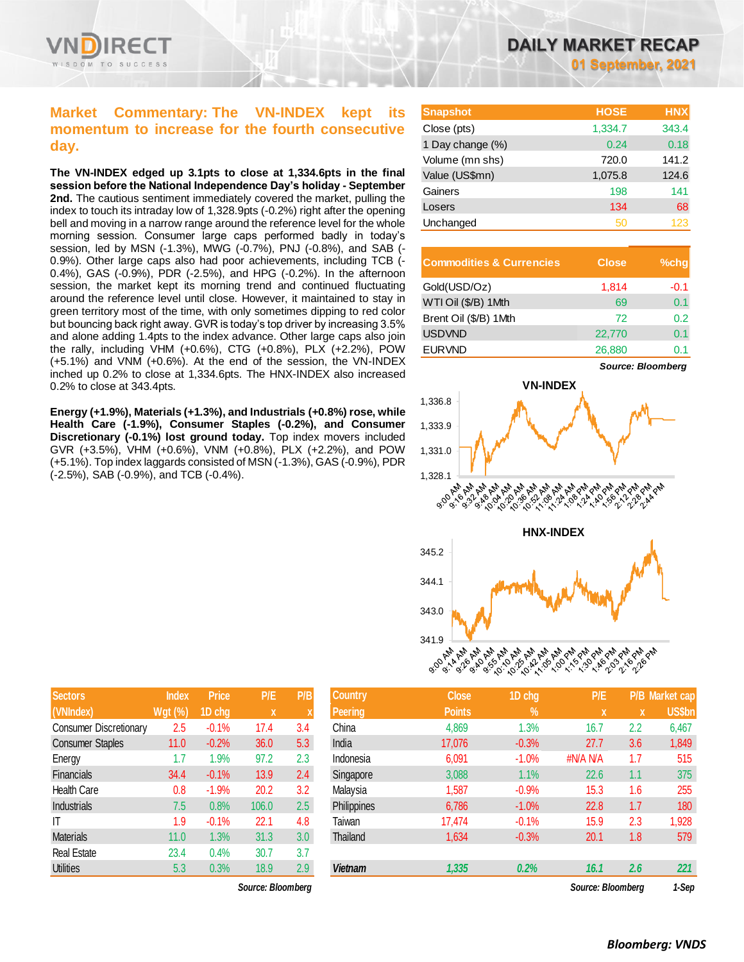

# **Market Commentary: The VN-INDEX kept its momentum to increase for the fourth consecutive day.**

**The VN-INDEX edged up 3.1pts to close at 1,334.6pts in the final session before the National Independence Day's holiday - September 2nd.** The cautious sentiment immediately covered the market, pulling the index to touch its intraday low of 1,328.9pts (-0.2%) right after the opening bell and moving in a narrow range around the reference level for the whole morning session. Consumer large caps performed badly in today's session, led by MSN (-1.3%), MWG (-0.7%), PNJ (-0.8%), and SAB (- 0.9%). Other large caps also had poor achievements, including TCB (- 0.4%), GAS (-0.9%), PDR (-2.5%), and HPG (-0.2%). In the afternoon session, the market kept its morning trend and continued fluctuating around the reference level until close. However, it maintained to stay in green territory most of the time, with only sometimes dipping to red color but bouncing back right away. GVR is today's top driver by increasing 3.5% and alone adding 1.4pts to the index advance. Other large caps also join the rally, including VHM (+0.6%), CTG (+0.8%), PLX (+2.2%), POW (+5.1%) and VNM (+0.6%). At the end of the session, the VN-INDEX inched up 0.2% to close at 1,334.6pts. The HNX-INDEX also increased 0.2% to close at 343.4pts.

**Energy (+1.9%), Materials (+1.3%), and Industrials (+0.8%) rose, while Health Care (-1.9%), Consumer Staples (-0.2%), and Consumer Discretionary (-0.1%) lost ground today.** Top index movers included GVR (+3.5%), VHM (+0.6%), VNM (+0.8%), PLX (+2.2%), and POW (+5.1%). Top index laggards consisted of MSN (-1.3%), GAS (-0.9%), PDR (-2.5%), SAB (-0.9%), and TCB (-0.4%).

| <b>Snapshot</b>  | <b>HOSE</b> | <b>HNX</b> |
|------------------|-------------|------------|
| Close (pts)      | 1,334.7     | 343.4      |
| 1 Day change (%) | 0.24        | 0.18       |
| Volume (mn shs)  | 720.0       | 141.2      |
| Value (US\$mn)   | 1,075.8     | 124.6      |
| Gainers          | 198         | 141        |
| Losers           | 134         | 68         |
| Unchanged        | 50          | 123        |

| <b>Commodities &amp; Currencies</b> | <b>Close</b> | $%$ chq |
|-------------------------------------|--------------|---------|
| Gold(USD/Oz)                        | 1,814        | -0.1    |
| WTI Oil (\$/B) 1Mth                 | 69           | 0.1     |
| Brent Oil (\$/B) 1Mth               | 72           | 0.2     |
| <b>USDVND</b>                       | 22,770       | 0.1     |
| <b>EURVND</b>                       | 26,880       |         |







| <b>Sectors</b>                | <b>Index</b>   | <b>Price</b> | P/E   | P/B |
|-------------------------------|----------------|--------------|-------|-----|
| (VNIndex)                     | <b>Wgt (%)</b> | 1D chg       | X     | X   |
| <b>Consumer Discretionary</b> | 2.5            | $-0.1%$      | 17.4  | 3.4 |
| <b>Consumer Staples</b>       | 11.0           | $-0.2%$      | 36.0  | 5.3 |
| Energy                        | 1.7            | 1.9%         | 97.2  | 2.3 |
| Financials                    | 34.4           | $-0.1%$      | 13.9  | 2.4 |
| <b>Health Care</b>            | 0.8            | $-1.9%$      | 20.2  | 3.2 |
| Industrials                   | 7.5            | 0.8%         | 106.0 | 2.5 |
| IΤ                            | 1.9            | $-0.1%$      | 22.1  | 4.8 |
| <b>Materials</b>              | 11.0           | 1.3%         | 31.3  | 3.0 |
| <b>Real Estate</b>            | 23.4           | 0.4%         | 30.7  | 3.7 |
| <b>Utilities</b>              | 5.3            | 0.3%         | 18.9  | 2.9 |

 $Source: Bloomberg$ 

| <b>Sectors</b>                | <b>Index</b>   | <b>Price</b> | P/E               | P/B | <b>Country</b> | <b>Close</b>  | 1D chg         | P/E               |     | P/B Market cap |
|-------------------------------|----------------|--------------|-------------------|-----|----------------|---------------|----------------|-------------------|-----|----------------|
| (VNIndex)                     | <b>Wgt (%)</b> | 1D chg       | X                 |     | <b>Peering</b> | <b>Points</b> | $\mathbf{V}_0$ | X                 | X   | US\$bn         |
| <b>Consumer Discretionary</b> | 2.5            | $-0.1%$      | 17.4              | 3.4 | China          | 4,869         | 1.3%           | 16.7              | 2.2 | 6,467          |
| <b>Consumer Staples</b>       | 11.0           | $-0.2%$      | 36.0              | 5.3 | India          | 17.076        | $-0.3%$        | 27.7              | 3.6 | 1,849          |
| Energy                        | 1.7            | 1.9%         | 97.2              | 2.3 | Indonesia      | 6,091         | $-1.0%$        | #N/A N/A          | 1.7 | 515            |
| Financials                    | 34.4           | $-0.1%$      | 13.9              | 2.4 | Singapore      | 3,088         | 1.1%           | 22.6              | 1.1 | 375            |
| <b>Health Care</b>            | 0.8            | $-1.9%$      | 20.2              | 3.2 | Malaysia       | 1,587         | $-0.9%$        | 15.3              | 1.6 | 255            |
| Industrials                   | 7.5            | 0.8%         | 106.0             | 2.5 | Philippines    | 6,786         | $-1.0\%$       | 22.8              | 1.7 | 180            |
| ΙT                            | 1.9            | $-0.1%$      | 22.1              | 4.8 | Taiwan         | 17.474        | $-0.1%$        | 15.9              | 2.3 | 1,928          |
| Materials                     | 11.0           | 1.3%         | 31.3              | 3.0 | Thailand       | 1,634         | $-0.3%$        | 20.1              | 1.8 | 579            |
| Real Estate                   | 23.4           | 0.4%         | 30.7              | 3.7 |                |               |                |                   |     |                |
| <b>Utilities</b>              | 5.3            | 0.3%         | 18.9              | 2.9 | <b>Vietnam</b> | 1,335         | 0.2%           | 16.1              | 2.6 | 221            |
|                               |                |              | Source: Bloomberg |     |                |               |                | Source: Bloomberg |     | 1-Sen          |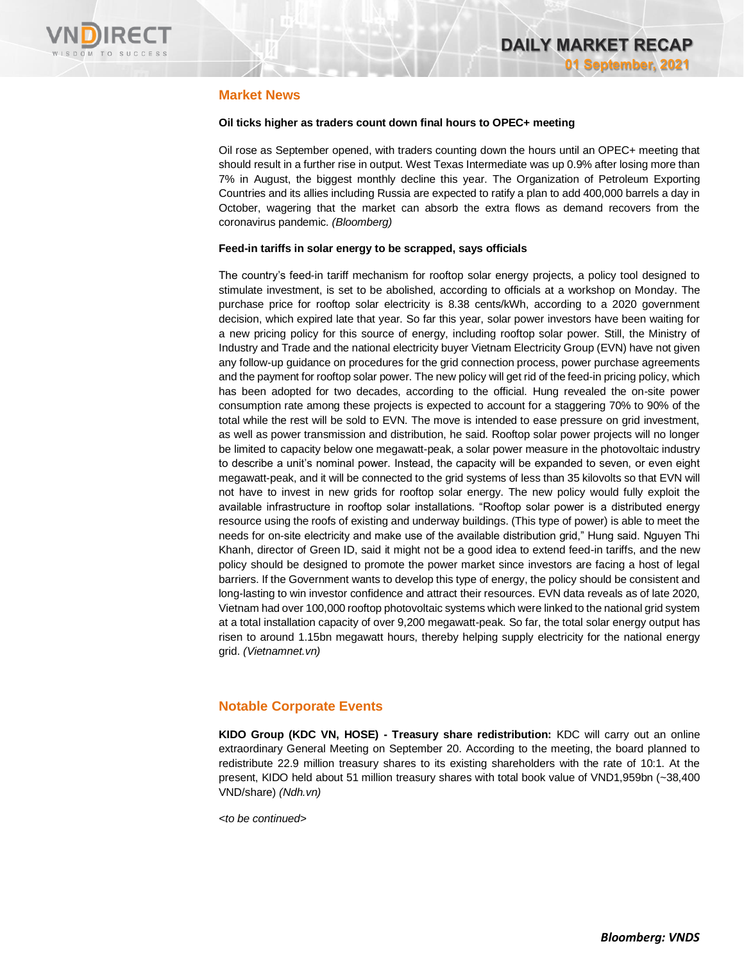

### **Market News**

### **Oil ticks higher as traders count down final hours to OPEC+ meeting**

Oil rose as September opened, with traders counting down the hours until an OPEC+ meeting that should result in a further rise in output. West Texas Intermediate was up 0.9% after losing more than 7% in August, the biggest monthly decline this year. The Organization of Petroleum Exporting Countries and its allies including Russia are expected to ratify a plan to add 400,000 barrels a day in October, wagering that the market can absorb the extra flows as demand recovers from the coronavirus pandemic. *(Bloomberg)*

### **Feed-in tariffs in solar energy to be scrapped, says officials**

The country's feed-in tariff mechanism for rooftop solar energy projects, a policy tool designed to stimulate investment, is set to be abolished, according to officials at a workshop on Monday. The purchase price for rooftop solar electricity is 8.38 cents/kWh, according to a 2020 government decision, which expired late that year. So far this year, solar power investors have been waiting for a new pricing policy for this source of energy, including rooftop solar power. Still, the Ministry of Industry and Trade and the national electricity buyer Vietnam Electricity Group (EVN) have not given any follow-up guidance on procedures for the grid connection process, power purchase agreements and the payment for rooftop solar power. The new policy will get rid of the feed-in pricing policy, which has been adopted for two decades, according to the official. Hung revealed the on-site power consumption rate among these projects is expected to account for a staggering 70% to 90% of the total while the rest will be sold to EVN. The move is intended to ease pressure on grid investment, as well as power transmission and distribution, he said. Rooftop solar power projects will no longer be limited to capacity below one megawatt-peak, a solar power measure in the photovoltaic industry to describe a unit's nominal power. Instead, the capacity will be expanded to seven, or even eight megawatt-peak, and it will be connected to the grid systems of less than 35 kilovolts so that EVN will not have to invest in new grids for rooftop solar energy. The new policy would fully exploit the available infrastructure in rooftop solar installations. "Rooftop solar power is a distributed energy resource using the roofs of existing and underway buildings. (This type of power) is able to meet the needs for on-site electricity and make use of the available distribution grid," Hung said. Nguyen Thi Khanh, director of Green ID, said it might not be a good idea to extend feed-in tariffs, and the new policy should be designed to promote the power market since investors are facing a host of legal barriers. If the Government wants to develop this type of energy, the policy should be consistent and long-lasting to win investor confidence and attract their resources. EVN data reveals as of late 2020, Vietnam had over 100,000 rooftop photovoltaic systems which were linked to the national grid system at a total installation capacity of over 9,200 megawatt-peak. So far, the total solar energy output has risen to around 1.15bn megawatt hours, thereby helping supply electricity for the national energy grid. *(Vietnamnet.vn)*

### **Notable Corporate Events**

**KIDO Group (KDC VN, HOSE) - Treasury share redistribution:** KDC will carry out an online extraordinary General Meeting on September 20. According to the meeting, the board planned to redistribute 22.9 million treasury shares to its existing shareholders with the rate of 10:1. At the present, KIDO held about 51 million treasury shares with total book value of VND1,959bn (~38,400 VND/share) *(Ndh.vn)*

*<to be continued>*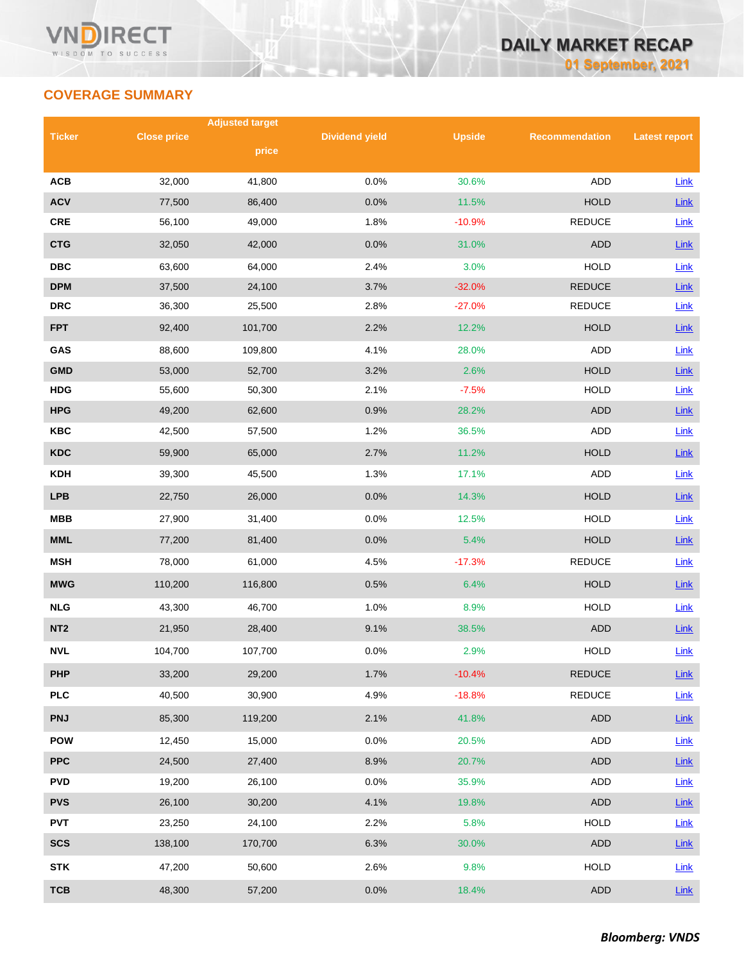# **COVERAGE SUMMARY**

|                 |                    | <b>Adjusted target</b> |                       |               |                       |                      |  |
|-----------------|--------------------|------------------------|-----------------------|---------------|-----------------------|----------------------|--|
| <b>Ticker</b>   | <b>Close price</b> | price                  | <b>Dividend yield</b> | <b>Upside</b> | <b>Recommendation</b> | <b>Latest report</b> |  |
|                 |                    |                        |                       |               |                       |                      |  |
| <b>ACB</b>      | 32,000             | 41,800                 | 0.0%                  | 30.6%         | <b>ADD</b>            | Link                 |  |
| <b>ACV</b>      | 77,500             | 86,400                 | 0.0%                  | 11.5%         | <b>HOLD</b>           | <b>Link</b>          |  |
| CRE             | 56,100             | 49,000                 | 1.8%                  | $-10.9%$      | <b>REDUCE</b>         | <b>Link</b>          |  |
| <b>CTG</b>      | 32,050             | 42,000                 | 0.0%                  | 31.0%         | <b>ADD</b>            | <b>Link</b>          |  |
| <b>DBC</b>      | 63,600             | 64,000                 | 2.4%                  | 3.0%          | <b>HOLD</b>           | Link                 |  |
| <b>DPM</b>      | 37,500             | 24,100                 | 3.7%                  | $-32.0%$      | <b>REDUCE</b>         | Link                 |  |
| <b>DRC</b>      | 36,300             | 25,500                 | 2.8%                  | $-27.0%$      | <b>REDUCE</b>         | Link                 |  |
| <b>FPT</b>      | 92,400             | 101,700                | 2.2%                  | 12.2%         | <b>HOLD</b>           | Link                 |  |
| GAS             | 88,600             | 109,800                | 4.1%                  | 28.0%         | <b>ADD</b>            | Link                 |  |
| <b>GMD</b>      | 53,000             | 52,700                 | 3.2%                  | 2.6%          | <b>HOLD</b>           | Link                 |  |
| <b>HDG</b>      | 55,600             | 50,300                 | 2.1%                  | $-7.5%$       | <b>HOLD</b>           | Link                 |  |
| <b>HPG</b>      | 49,200             | 62,600                 | 0.9%                  | 28.2%         | <b>ADD</b>            | Link                 |  |
| <b>KBC</b>      | 42,500             | 57,500                 | 1.2%                  | 36.5%         | ADD                   | <b>Link</b>          |  |
| <b>KDC</b>      | 59,900             | 65,000                 | 2.7%                  | 11.2%         | <b>HOLD</b>           | <b>Link</b>          |  |
| <b>KDH</b>      | 39,300             | 45,500                 | 1.3%                  | 17.1%         | <b>ADD</b>            | Link                 |  |
| <b>LPB</b>      | 22,750             | 26,000                 | 0.0%                  | 14.3%         | <b>HOLD</b>           | <b>Link</b>          |  |
| <b>MBB</b>      | 27,900             | 31,400                 | 0.0%                  | 12.5%         | <b>HOLD</b>           | <b>Link</b>          |  |
| <b>MML</b>      | 77,200             | 81,400                 | 0.0%                  | 5.4%          | <b>HOLD</b>           | Link                 |  |
| <b>MSH</b>      | 78,000             | 61,000                 | 4.5%                  | $-17.3%$      | <b>REDUCE</b>         | Link                 |  |
| <b>MWG</b>      | 110,200            | 116,800                | 0.5%                  | 6.4%          | <b>HOLD</b>           | Link                 |  |
| <b>NLG</b>      | 43,300             | 46,700                 | 1.0%                  | 8.9%          | <b>HOLD</b>           | Link                 |  |
| NT <sub>2</sub> | 21,950             | 28,400                 | 9.1%                  | 38.5%         | <b>ADD</b>            | Link                 |  |
| <b>NVL</b>      | 104,700            | 107,700                | 0.0%                  | 2.9%          | <b>HOLD</b>           | Link                 |  |
| <b>PHP</b>      | 33,200             | 29,200                 | 1.7%                  | $-10.4%$      | <b>REDUCE</b>         | Link                 |  |
| <b>PLC</b>      | 40,500             | 30,900                 | 4.9%                  | $-18.8%$      | <b>REDUCE</b>         | <b>Link</b>          |  |
| <b>PNJ</b>      | 85,300             | 119,200                | 2.1%                  | 41.8%         | <b>ADD</b>            | <b>Link</b>          |  |
| <b>POW</b>      | 12,450             | 15,000                 | 0.0%                  | 20.5%         | ADD                   | <b>Link</b>          |  |
| <b>PPC</b>      | 24,500             | 27,400                 | 8.9%                  | 20.7%         | ADD                   | Link                 |  |
| <b>PVD</b>      | 19,200             | 26,100                 | 0.0%                  | 35.9%         | ADD                   | Link                 |  |
| <b>PVS</b>      | 26,100             | 30,200                 | 4.1%                  | 19.8%         | <b>ADD</b>            | <b>Link</b>          |  |
| <b>PVT</b>      | 23,250             | 24,100                 | 2.2%                  | 5.8%          | HOLD                  | Link                 |  |
| <b>SCS</b>      | 138,100            | 170,700                | 6.3%                  | 30.0%         | ADD                   | <b>Link</b>          |  |
| <b>STK</b>      | 47,200             | 50,600                 | 2.6%                  | 9.8%          | <b>HOLD</b>           | <b>Link</b>          |  |
| <b>TCB</b>      | 48,300             | 57,200                 | 0.0%                  | 18.4%         | <b>ADD</b>            | Link                 |  |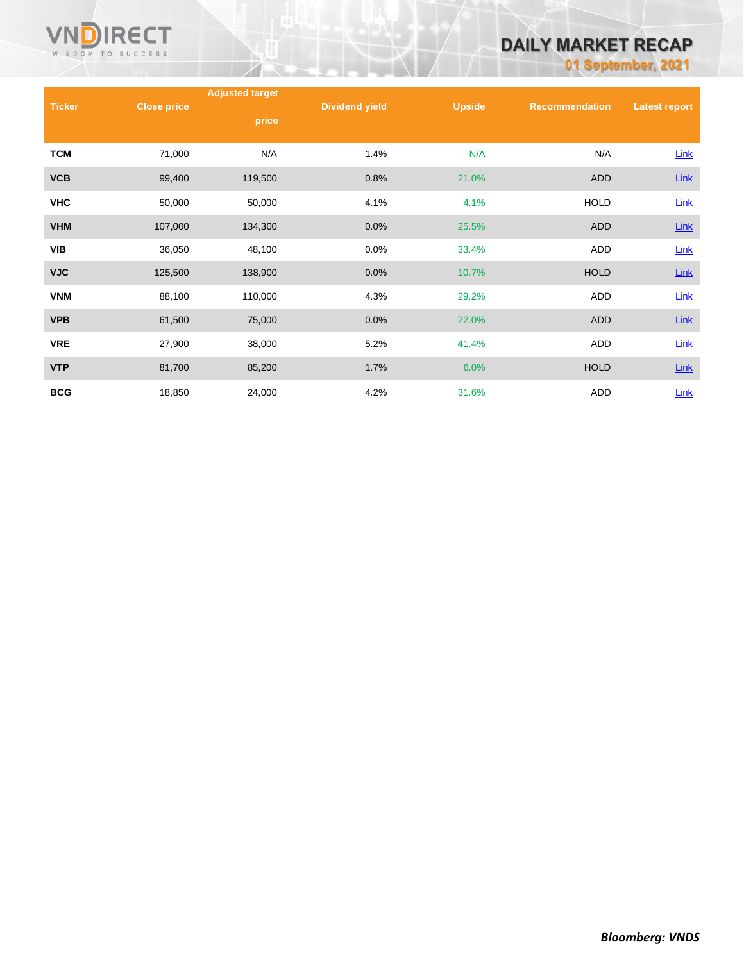

# **DAILY MARKET RECAP**

**01 September, 2021**

|               |                    | <b>Adjusted target</b> |                       |               |                       |                      |
|---------------|--------------------|------------------------|-----------------------|---------------|-----------------------|----------------------|
| <b>Ticker</b> | <b>Close price</b> | price                  | <b>Dividend yield</b> | <b>Upside</b> | <b>Recommendation</b> | <b>Latest report</b> |
| <b>TCM</b>    | 71,000             | N/A                    | 1.4%                  | N/A           | N/A                   | <b>Link</b>          |
| <b>VCB</b>    | 99,400             | 119,500                | 0.8%                  | 21.0%         | <b>ADD</b>            | Link                 |
| <b>VHC</b>    | 50,000             | 50,000                 | 4.1%                  | 4.1%          | <b>HOLD</b>           | Link                 |
| <b>VHM</b>    | 107,000            | 134,300                | 0.0%                  | 25.5%         | <b>ADD</b>            | $Link$               |
| <b>VIB</b>    | 36,050             | 48,100                 | 0.0%                  | 33.4%         | <b>ADD</b>            | Link                 |
| <b>VJC</b>    | 125,500            | 138,900                | 0.0%                  | 10.7%         | <b>HOLD</b>           | Link                 |
| <b>VNM</b>    | 88,100             | 110,000                | 4.3%                  | 29.2%         | ADD                   | <b>Link</b>          |
| <b>VPB</b>    | 61,500             | 75,000                 | 0.0%                  | 22.0%         | <b>ADD</b>            | <b>Link</b>          |
| <b>VRE</b>    | 27,900             | 38,000                 | 5.2%                  | 41.4%         | ADD                   | <b>Link</b>          |
| <b>VTP</b>    | 81,700             | 85,200                 | 1.7%                  | 6.0%          | <b>HOLD</b>           | <b>Link</b>          |
| <b>BCG</b>    | 18,850             | 24,000                 | 4.2%                  | 31.6%         | ADD                   | Link                 |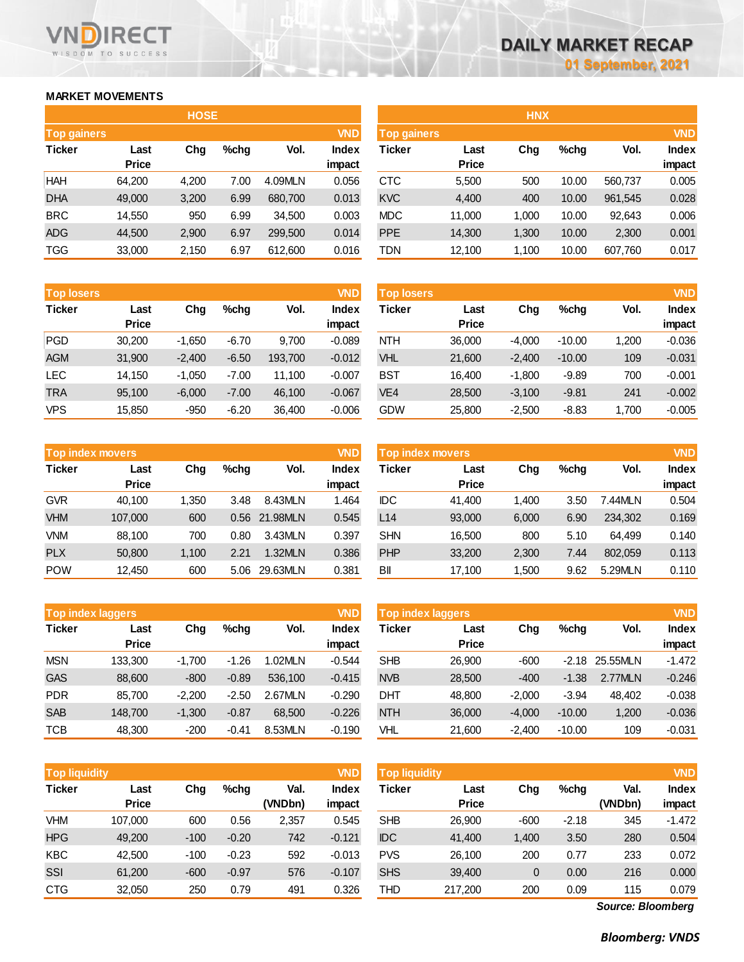## **MARKET MOVEMENTS**

WISDOM TO SUCCESS

**RECT** 

VN

|                    | <b>HOSE</b>  |       |      |         |              |  |  |  |  |
|--------------------|--------------|-------|------|---------|--------------|--|--|--|--|
| <b>Top gainers</b> |              |       |      |         | <b>VND</b>   |  |  |  |  |
| <b>Ticker</b>      | Last         | Cha   | %chg | Vol.    | <b>Index</b> |  |  |  |  |
|                    | <b>Price</b> |       |      |         | impact       |  |  |  |  |
| HAH                | 64,200       | 4,200 | 7.00 | 4.09MLN | 0.056        |  |  |  |  |
| <b>DHA</b>         | 49,000       | 3,200 | 6.99 | 680,700 | 0.013        |  |  |  |  |
| <b>BRC</b>         | 14,550       | 950   | 6.99 | 34,500  | 0.003        |  |  |  |  |
| ADG                | 44,500       | 2,900 | 6.97 | 299,500 | 0.014        |  |  |  |  |
| <b>TGG</b>         | 33,000       | 2,150 | 6.97 | 612,600 | 0.016        |  |  |  |  |

| <b>Top losers</b> |              |          |         |         | <b>VND</b> |
|-------------------|--------------|----------|---------|---------|------------|
| <b>Ticker</b>     | Last         | Chq      | %chq    | Vol.    | Index      |
|                   | <b>Price</b> |          |         |         | impact     |
| <b>PGD</b>        | 30,200       | $-1,650$ | $-6.70$ | 9,700   | $-0.089$   |
| <b>AGM</b>        | 31,900       | $-2,400$ | $-6.50$ | 193,700 | $-0.012$   |
| <b>LEC</b>        | 14,150       | $-1,050$ | $-7.00$ | 11,100  | $-0.007$   |
| <b>TRA</b>        | 95,100       | $-6,000$ | $-7.00$ | 46,100  | $-0.067$   |
| <b>VPS</b>        | 15,850       | $-950$   | $-6.20$ | 36,400  | $-0.006$   |

|               | <b>Top index movers</b> |       |      |          |        |  |  |  |
|---------------|-------------------------|-------|------|----------|--------|--|--|--|
| <b>Ticker</b> | Last                    | Chq   | %chq | Vol.     | Index  |  |  |  |
|               | <b>Price</b>            |       |      |          | impact |  |  |  |
| <b>GVR</b>    | 40,100                  | 1,350 | 3.48 | 8.43MLN  | 1.464  |  |  |  |
| <b>VHM</b>    | 107,000                 | 600   | 0.56 | 21.98MLN | 0.545  |  |  |  |
| <b>VNM</b>    | 88,100                  | 700   | 0.80 | 3.43MLN  | 0.397  |  |  |  |
| <b>PLX</b>    | 50,800                  | 1,100 | 2.21 | 1.32MLN  | 0.386  |  |  |  |
| <b>POW</b>    | 12,450                  | 600   | 5.06 | 29.63MLN | 0.381  |  |  |  |

| <b>VND</b><br><b>Top index laggers</b> |              |          |         |         |              |  |  |
|----------------------------------------|--------------|----------|---------|---------|--------------|--|--|
| <b>Ticker</b>                          | Last         | Chq      | %chq    | Vol.    | <b>Index</b> |  |  |
|                                        | <b>Price</b> |          |         |         | impact       |  |  |
| <b>MSN</b>                             | 133,300      | $-1,700$ | -1.26   | 1.02MLN | $-0.544$     |  |  |
| <b>GAS</b>                             | 88,600       | $-800$   | $-0.89$ | 536,100 | $-0.415$     |  |  |
| <b>PDR</b>                             | 85,700       | $-2,200$ | $-2.50$ | 2.67MLN | $-0.290$     |  |  |
| <b>SAB</b>                             | 148,700      | $-1,300$ | $-0.87$ | 68,500  | $-0.226$     |  |  |
| TCB                                    | 48,300       | $-200$   | $-0.41$ | 8.53MLN | $-0.190$     |  |  |

|               | <b>VND</b><br><b>Top liquidity</b> |        |         |         |              |  |  |  |  |
|---------------|------------------------------------|--------|---------|---------|--------------|--|--|--|--|
| <b>Ticker</b> | Last                               | Chq    | %chq    | Val.    | <b>Index</b> |  |  |  |  |
|               | <b>Price</b>                       |        |         | (VNDbn) | impact       |  |  |  |  |
| <b>VHM</b>    | 107,000                            | 600    | 0.56    | 2,357   | 0.545        |  |  |  |  |
| <b>HPG</b>    | 49,200                             | $-100$ | $-0.20$ | 742     | $-0.121$     |  |  |  |  |
| <b>KBC</b>    | 42,500                             | $-100$ | $-0.23$ | 592     | $-0.013$     |  |  |  |  |
| SSI           | 61,200                             | $-600$ | $-0.97$ | 576     | $-0.107$     |  |  |  |  |
| <b>CTG</b>    | 32,050                             | 250    | 0.79    | 491     | 0.326        |  |  |  |  |

|                    |              | <b>HOSE</b> |         |         |            |             |              | <b>HNX</b> |       |         |              |
|--------------------|--------------|-------------|---------|---------|------------|-------------|--------------|------------|-------|---------|--------------|
| <b>Top gainers</b> |              |             |         |         | <b>VND</b> | Top gainers |              |            |       |         | <b>VND</b>   |
| Ticker             | Last         | Chg         | $%$ chq | Vol.    | Index      | Ticker      | Last         | Chg        | %chq  | Vol.    | <b>Index</b> |
|                    | <b>Price</b> |             |         |         | impact     |             | <b>Price</b> |            |       |         | impact       |
| HAH                | 64,200       | 4,200       | 7.00    | 4.09MLN | 0.056      | <b>CTC</b>  | 5,500        | 500        | 10.00 | 560,737 | 0.005        |
| <b>DHA</b>         | 49,000       | 3,200       | 6.99    | 680,700 | 0.013      | <b>KVC</b>  | 4,400        | 400        | 10.00 | 961,545 | 0.028        |
| <b>BRC</b>         | 14,550       | 950         | 6.99    | 34,500  | 0.003      | <b>MDC</b>  | 11,000       | 1,000      | 10.00 | 92,643  | 0.006        |
| ADG                | 44,500       | 2,900       | 6.97    | 299,500 | 0.014      | <b>PPE</b>  | 14,300       | 1,300      | 10.00 | 2,300   | 0.001        |
| TGG                | 33,000       | 2,150       | 6.97    | 612,600 | 0.016      | TDN         | 12,100       | 1,100      | 10.00 | 607,760 | 0.017        |
|                    |              |             |         |         |            |             |              |            |       |         |              |

| <b>Top losers</b> |              |          |         |         | <b>VND</b>   | <b>Top losers</b> |              |          |          |       | <b>VND</b>   |
|-------------------|--------------|----------|---------|---------|--------------|-------------------|--------------|----------|----------|-------|--------------|
| Ticker            | Last         | Chg      | %chq    | Vol.    | <b>Index</b> | Ticker            | Last         | Chg      | $%$ chg  | Vol.  | <b>Index</b> |
|                   | <b>Price</b> |          |         |         | impact       |                   | <b>Price</b> |          |          |       | impact       |
| PGD               | 30,200       | $-1.650$ | $-6.70$ | 9.700   | $-0.089$     | <b>NTH</b>        | 36,000       | $-4.000$ | $-10.00$ | 1,200 | $-0.036$     |
| AGM               | 31,900       | $-2.400$ | $-6.50$ | 193,700 | $-0.012$     | <b>VHL</b>        | 21,600       | $-2,400$ | $-10.00$ | 109   | $-0.031$     |
| LEC               | 14.150       | $-1.050$ | $-7.00$ | 11.100  | $-0.007$     | <b>BST</b>        | 16.400       | $-1.800$ | $-9.89$  | 700   | $-0.001$     |
| <b>TRA</b>        | 95,100       | $-6,000$ | $-7.00$ | 46,100  | $-0.067$     | VE <sub>4</sub>   | 28,500       | $-3,100$ | $-9.81$  | 241   | $-0.002$     |
| VPS               | 15,850       | $-950$   | $-6.20$ | 36,400  | $-0.006$     | <b>GDW</b>        | 25,800       | $-2,500$ | $-8.83$  | 1,700 | $-0.005$     |

| <b>VND</b><br>Top index movers |              |       |      |          |        | <b>VND</b><br>Top index movers |              |       |      |         |              |  |
|--------------------------------|--------------|-------|------|----------|--------|--------------------------------|--------------|-------|------|---------|--------------|--|
| Ticker                         | Last         | Chg   | %chq | Vol.     | Index  | Ticker                         | Last         | Chg   | %chg | Vol.    | <b>Index</b> |  |
|                                | <b>Price</b> |       |      |          | impact |                                | <b>Price</b> |       |      |         | impact       |  |
| GVR                            | 40.100       | 1.350 | 3.48 | 8.43MLN  | 1.464  | <b>IDC</b>                     | 41.400       | 1.400 | 3.50 | 7.44MLN | 0.504        |  |
| <b>VHM</b>                     | 107,000      | 600   | 0.56 | 21.98MLN | 0.545  | L14                            | 93,000       | 6.000 | 6.90 | 234,302 | 0.169        |  |
| VNM                            | 88,100       | 700   | 0.80 | 3.43MLN  | 0.397  | <b>SHN</b>                     | 16,500       | 800   | 5.10 | 64.499  | 0.140        |  |
| <b>PLX</b>                     | 50,800       | 1,100 | 2.21 | 1.32MLN  | 0.386  | <b>PHP</b>                     | 33,200       | 2,300 | 7.44 | 802.059 | 0.113        |  |
| POW                            | 12,450       | 600   | 5.06 | 29.63MLN | 0.381  | BII                            | 17,100       | 1,500 | 9.62 | 5.29MLN | 0.110        |  |

| <b>VND</b><br><b>Top index laggers</b> |              |          |         |         |          | <b>VND</b><br>Top index laggers |              |          |          |          |              |  |
|----------------------------------------|--------------|----------|---------|---------|----------|---------------------------------|--------------|----------|----------|----------|--------------|--|
| Ticker                                 | Last         | Chg      | %chq    | Vol.    | Index    | Ticker                          | Last         | Chg      | %chg     | Vol.     | <b>Index</b> |  |
|                                        | <b>Price</b> |          |         |         | impact   |                                 | <b>Price</b> |          |          |          | impact       |  |
| MSN                                    | 133.300      | $-1.700$ | $-1.26$ | 1.02MLN | $-0.544$ | <b>SHB</b>                      | 26,900       | $-600$   | $-2.18$  | 25.55MLN | $-1.472$     |  |
| <b>GAS</b>                             | 88,600       | $-800$   | $-0.89$ | 536,100 | $-0.415$ | <b>NVB</b>                      | 28,500       | $-400$   | $-1.38$  | 2.77MLN  | $-0.246$     |  |
| PDR                                    | 85.700       | $-2.200$ | $-2.50$ | 2.67MLN | $-0.290$ | DHT                             | 48.800       | $-2.000$ | $-3.94$  | 48.402   | $-0.038$     |  |
| <b>SAB</b>                             | 148.700      | $-1,300$ | $-0.87$ | 68,500  | $-0.226$ | <b>NTH</b>                      | 36,000       | $-4,000$ | $-10.00$ | 1,200    | $-0.036$     |  |
| TCB                                    | 48,300       | $-200$   | $-0.41$ | 8.53MLN | $-0.190$ | VHL                             | 21,600       | $-2,400$ | $-10.00$ | 109      | $-0.031$     |  |

| <b>Top liquidity</b> |              |        |         |         | <b>VND</b> | <b>Top liquidity</b> |              |        |         |         | <b>VND</b>   |
|----------------------|--------------|--------|---------|---------|------------|----------------------|--------------|--------|---------|---------|--------------|
| Ticker               | Last         | Chg    | $%$ chq | Val.    | Index      | Ticker               | Last         | Chg    | %chg    | Val.    | <b>Index</b> |
|                      | <b>Price</b> |        |         | (VNDbn) | impact     |                      | <b>Price</b> |        |         | (VNDbn) | impact       |
| VHM                  | 107.000      | 600    | 0.56    | 2,357   | 0.545      | <b>SHB</b>           | 26,900       | $-600$ | $-2.18$ | 345     | $-1.472$     |
| <b>HPG</b>           | 49,200       | $-100$ | $-0.20$ | 742     | $-0.121$   | <b>IDC</b>           | 41,400       | 1,400  | 3.50    | 280     | 0.504        |
| KBC                  | 42.500       | $-100$ | $-0.23$ | 592     | $-0.013$   | <b>PVS</b>           | 26.100       | 200    | 0.77    | 233     | 0.072        |
| SSI                  | 61,200       | $-600$ | $-0.97$ | 576     | $-0.107$   | <b>SHS</b>           | 39,400       | 0      | 0.00    | 216     | 0.000        |
| CTG                  | 32,050       | 250    | 0.79    | 491     | 0.326      | THD                  | 217,200      | 200    | 0.09    | 115     | 0.079        |
|                      |              |        |         |         |            |                      |              |        |         |         |              |

*Source: Bloomberg*

*Bloomberg: VNDS*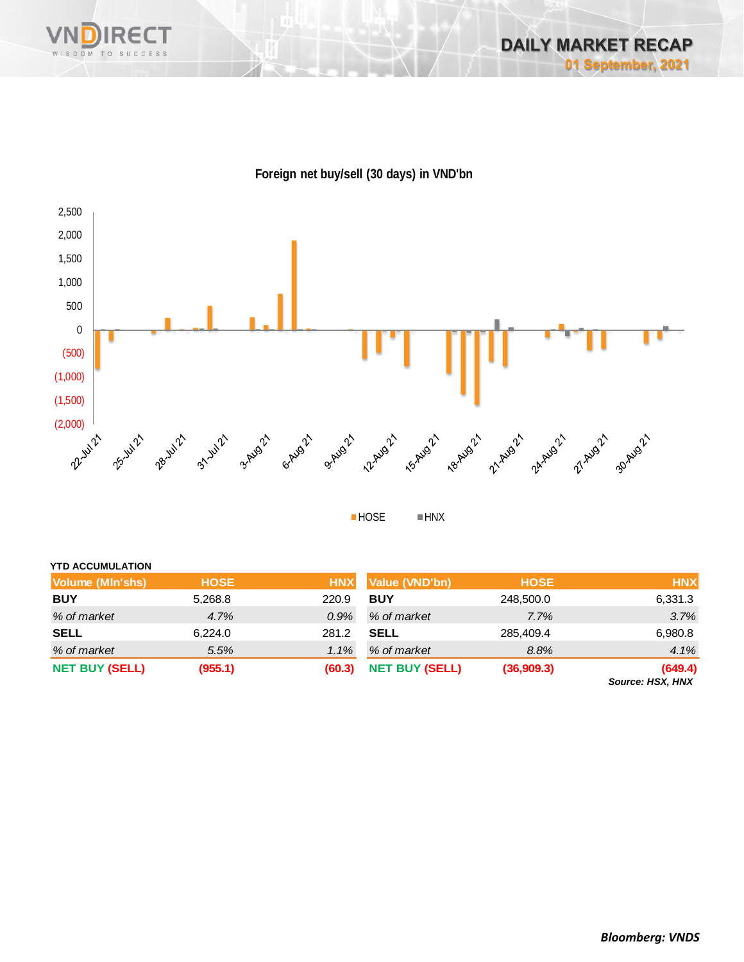





**HOSE HNX** 

| <b>YTD ACCUMULATION</b> |             |            |                       |             |                            |
|-------------------------|-------------|------------|-----------------------|-------------|----------------------------|
| Volume (MIn'shs)        | <b>HOSE</b> | <b>HNX</b> | Value (VND'bn)        | <b>HOSE</b> | <b>HNX</b>                 |
| <b>BUY</b>              | 5,268.8     | 220.9      | <b>BUY</b>            | 248,500.0   | 6,331.3                    |
| % of market             | 4.7%        | 0.9%       | % of market           | 7.7%        | 3.7%                       |
| <b>SELL</b>             | 6.224.0     | 281.2      | <b>SELL</b>           | 285,409.4   | 6,980.8                    |
| % of market             | 5.5%        | 1.1%       | % of market           | 8.8%        | 4.1%                       |
| <b>NET BUY (SELL)</b>   | (955.1)     | (60.3)     | <b>NET BUY (SELL)</b> | (36,909.3)  | (649.4)<br>COURON HOV HAIV |

*Source: HSX, HNX*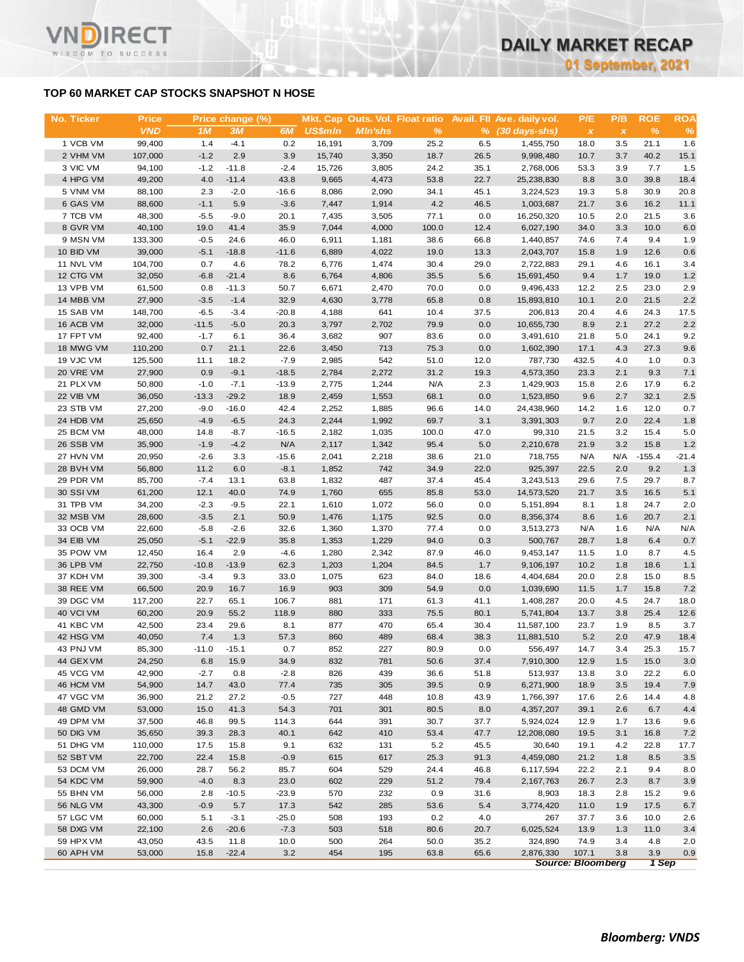### **TOP 60 MARKET CAP STOCKS SNAPSHOT N HOSE**

т

WISDOM TO SUCCESS

| No. Ticker | <b>Price</b>     |         | Price change (%) |                |                |                |       |      | Mkt. Cap Outs. Vol. Float ratio Avail. Fll Ave. daily vol. | P/E                       | P/B          | <b>ROE</b> | <b>ROA</b> |
|------------|------------------|---------|------------------|----------------|----------------|----------------|-------|------|------------------------------------------------------------|---------------------------|--------------|------------|------------|
|            | <b>VND</b>       | 1M      | 3M               | 6M             | <b>US\$mln</b> | <b>Min'shs</b> | %     |      | $%$ (30 days-shs)                                          | $\boldsymbol{\mathsf{x}}$ | $\pmb{\chi}$ | %          | $\%$       |
| 1 VCB VM   | 99,400           | 1.4     | $-4.1$           | 0.2            | 16,191         | 3,709          | 25.2  | 6.5  | 1,455,750                                                  | 18.0                      | 3.5          | 21.1       | 1.6        |
| 2 VHM VM   | 107,000          | $-1.2$  | 2.9              | 3.9            | 15,740         | 3,350          | 18.7  | 26.5 | 9,998,480                                                  | 10.7                      | 3.7          | 40.2       | 15.1       |
| 3 VIC VM   | 94,100           | $-1.2$  | $-11.8$          | $-2.4$         | 15,726         | 3,805          | 24.2  | 35.1 | 2,768,006                                                  | 53.3                      | 3.9          | 7.7        | 1.5        |
| 4 HPG VM   | 49,200           | 4.0     | $-11.4$          | 43.8           | 9,665          | 4,473          | 53.8  | 22.7 | 25,238,830                                                 | 8.8                       | 3.0          | 39.8       | 18.4       |
| 5 VNM VM   | 88,100           | 2.3     | $-2.0$           | $-16.6$        | 8,086          | 2,090          | 34.1  | 45.1 | 3,224,523                                                  | 19.3                      | 5.8          | 30.9       | 20.8       |
| 6 GAS VM   | 88,600           | $-1.1$  | 5.9              | $-3.6$         | 7,447          | 1,914          | 4.2   | 46.5 | 1,003,687                                                  | 21.7                      | 3.6          | 16.2       | 11.1       |
| 7 TCB VM   | 48,300           | $-5.5$  | $-9.0$           | 20.1           | 7,435          | 3,505          | 77.1  | 0.0  | 16,250,320                                                 | 10.5                      | 2.0          | 21.5       | 3.6        |
| 8 GVR VM   | 40,100           | 19.0    | 41.4             | 35.9           | 7,044          | 4,000          | 100.0 | 12.4 | 6,027,190                                                  | 34.0                      | 3.3          | 10.0       | 6.0        |
| 9 MSN VM   | 133,300          | $-0.5$  | 24.6             | 46.0           | 6,911          | 1,181          | 38.6  | 66.8 | 1,440,857                                                  | 74.6                      | 7.4          | 9.4        | 1.9        |
| 10 BID VM  | 39,000           | $-5.1$  | $-18.8$          | $-11.6$        | 6,889          | 4,022          | 19.0  | 13.3 | 2,043,707                                                  | 15.8                      | 1.9          | 12.6       | 0.6        |
| 11 NVL VM  | 104,700          | 0.7     | 4.6              | 78.2           | 6,776          | 1,474          | 30.4  | 29.0 | 2,722,883                                                  | 29.1                      | 4.6          | 16.1       |            |
| 12 CTG VM  | 32,050           | $-6.8$  | $-21.4$          | 8.6            | 6,764          |                | 35.5  | 5.6  | 15,691,450                                                 | 9.4                       | 1.7          | 19.0       | 3.4        |
|            |                  |         |                  |                |                | 4,806          |       |      |                                                            |                           |              |            | 1.2        |
| 13 VPB VM  | 61,500           | 0.8     | $-11.3$          | 50.7           | 6,671          | 2,470          | 70.0  | 0.0  | 9,496,433                                                  | 12.2                      | 2.5          | 23.0       | 2.9        |
| 14 MBB VM  | 27,900           | $-3.5$  | $-1.4$           | 32.9           | 4,630          | 3,778          | 65.8  | 0.8  | 15,893,810                                                 | 10.1                      | 2.0          | 21.5       | 2.2        |
| 15 SAB VM  | 148,700          | $-6.5$  | $-3.4$           | $-20.8$        | 4,188          | 641            | 10.4  | 37.5 | 206,813                                                    | 20.4                      | 4.6          | 24.3       | 17.5       |
| 16 ACB VM  | 32,000           | $-11.5$ | $-5.0$           | 20.3           | 3,797          | 2,702          | 79.9  | 0.0  | 10,655,730                                                 | 8.9                       | 2.1          | 27.2       | 2.2        |
| 17 FPT VM  | 92,400           | $-1.7$  | 6.1              | 36.4           | 3,682          | 907            | 83.6  | 0.0  | 3,491,610                                                  | 21.8                      | 5.0          | 24.1       | 9.2        |
| 18 MWG VM  | 110,200          | 0.7     | 21.1             | 22.6           | 3,450          | 713            | 75.3  | 0.0  | 1,602,390                                                  | 17.1                      | 4.3          | 27.3       | 9.6        |
| 19 VJC VM  | 125,500          | 11.1    | 18.2             | $-7.9$         | 2,985          | 542            | 51.0  | 12.0 | 787,730                                                    | 432.5                     | 4.0          | 1.0        | 0.3        |
| 20 VRE VM  | 27,900           | 0.9     | $-9.1$           | $-18.5$        | 2,784          | 2,272          | 31.2  | 19.3 | 4,573,350                                                  | 23.3                      | 2.1          | 9.3        | 7.1        |
| 21 PLX VM  | 50,800           | $-1.0$  | $-7.1$           | $-13.9$        | 2,775          | 1,244          | N/A   | 2.3  | 1,429,903                                                  | 15.8                      | 2.6          | 17.9       | 6.2        |
| 22 VIB VM  | 36,050           | $-13.3$ | $-29.2$          | 18.9           | 2,459          | 1,553          | 68.1  | 0.0  | 1,523,850                                                  | 9.6                       | 2.7          | 32.1       | 2.5        |
| 23 STB VM  | 27,200           | $-9.0$  | $-16.0$          | 42.4           | 2,252          | 1,885          | 96.6  | 14.0 | 24,438,960                                                 | 14.2                      | 1.6          | 12.0       | 0.7        |
| 24 HDB VM  | 25,650           | $-4.9$  | $-6.5$           | 24.3           | 2,244          | 1,992          | 69.7  | 3.1  | 3,391,303                                                  | 9.7                       | 2.0          | 22.4       | 1.8        |
| 25 BCM VM  | 48,000           | 14.8    | $-8.7$           | $-16.5$        | 2,182          | 1,035          | 100.0 | 47.0 | 99,310                                                     | 21.5                      | 3.2          | 15.4       | 5.0        |
| 26 SSB VM  | 35,900           | $-1.9$  | $-4.2$           | N/A            | 2,117          | 1,342          | 95.4  | 5.0  | 2,210,678                                                  | 21.9                      | 3.2          | 15.8       | 1.2        |
| 27 HVN VM  | 20,950           | $-2.6$  | 3.3              | $-15.6$        | 2,041          | 2,218          | 38.6  | 21.0 | 718,755                                                    | N/A                       | N/A          | $-155.4$   | $-21.4$    |
| 28 BVH VM  | 56,800           | 11.2    | 6.0              | $-8.1$         | 1,852          | 742            | 34.9  | 22.0 | 925,397                                                    | 22.5                      | 2.0          | 9.2        | 1.3        |
| 29 PDR VM  | 85,700           | $-7.4$  | 13.1             | 63.8           | 1,832          | 487            | 37.4  | 45.4 | 3,243,513                                                  | 29.6                      | 7.5          | 29.7       | 8.7        |
| 30 SSI VM  | 61,200           | 12.1    | 40.0             | 74.9           | 1,760          | 655            | 85.8  | 53.0 | 14,573,520                                                 | 21.7                      | 3.5          | 16.5       | 5.1        |
| 31 TPB VM  | 34,200           | $-2.3$  | $-9.5$           | 22.1           | 1,610          | 1,072          | 56.0  | 0.0  | 5,151,894                                                  | 8.1                       | 1.8          | 24.7       | 2.0        |
| 32 MSB VM  | 28,600           | $-3.5$  | 2.1              | 50.9           | 1,476          | 1,175          | 92.5  | 0.0  | 8,356,374                                                  | 8.6                       | 1.6          | 20.7       | 2.1        |
| 33 OCB VM  | 22,600           | $-5.8$  | $-2.6$           | 32.6           | 1,360          | 1,370          | 77.4  | 0.0  | 3,513,273                                                  | N/A                       | 1.6          | N/A        | N/A        |
| 34 EIB VM  | 25,050           | $-5.1$  | $-22.9$          | 35.8           | 1,353          | 1,229          | 94.0  | 0.3  | 500,767                                                    | 28.7                      | 1.8          | 6.4        | 0.7        |
| 35 POW VM  | 12,450           | 16.4    | 2.9              | $-4.6$         | 1,280          | 2,342          | 87.9  | 46.0 | 9,453,147                                                  | 11.5                      | 1.0          | 8.7        | 4.5        |
| 36 LPB VM  | 22,750           | $-10.8$ | $-13.9$          | 62.3           | 1,203          | 1,204          | 84.5  | 1.7  | 9,106,197                                                  | 10.2                      | 1.8          | 18.6       | 1.1        |
| 37 KDH VM  | 39,300           | $-3.4$  | 9.3              | 33.0           | 1,075          | 623            | 84.0  | 18.6 | 4,404,684                                                  | 20.0                      | 2.8          | 15.0       | 8.5        |
| 38 REE VM  | 66,500           | 20.9    | 16.7             | 16.9           | 903            | 309            | 54.9  | 0.0  | 1,039,690                                                  | 11.5                      | 1.7          | 15.8       | 7.2        |
| 39 DGC VM  | 117,200          | 22.7    | 65.1             | 106.7          | 881            | 171            | 61.3  | 41.1 | 1,408,287                                                  | 20.0                      | 4.5          | 24.7       | 18.0       |
| 40 VCI VM  | 60,200           | 20.9    | 55.2             | 118.9          | 880            | 333            | 75.5  | 80.1 | 5,741,804                                                  | 13.7                      | 3.8          | 25.4       | 12.6       |
| 41 KBC VM  | 42,500           | 23.4    | 29.6             | 8.1            | 877            | 470            | 65.4  | 30.4 | 11,587,100                                                 | 23.7                      | 1.9          | 8.5        | 3.7        |
| 42 HSG VM  | 40,050           | 7.4     | 1.3              | 57.3           | 860            | 489            | 68.4  | 38.3 | 11,881,510                                                 | 5.2                       | 2.0          | 47.9       | 18.4       |
| 43 PNJ VM  | 85,300           | $-11.0$ | $-15.1$          | 0.7            | 852            | 227            | 80.9  | 0.0  | 556,497                                                    | 14.7                      | 3.4          | 25.3       | 15.7       |
| 44 GEX VM  | 24,250           | 6.8     | 15.9             | 34.9           | 832            | 781            | 50.6  | 37.4 | 7,910,300                                                  | 12.9                      | 1.5          | 15.0       | 3.0        |
| 45 VCG VM  | 42,900           | $-2.7$  | 0.8              | $-2.8$         | 826            | 439            | 36.6  | 51.8 | 513,937                                                    | 13.8                      | 3.0          | 22.2       | 6.0        |
| 46 HCM VM  |                  | 14.7    | 43.0             |                | 735            | 305            | 39.5  | 0.9  | 6,271,900                                                  |                           |              | 19.4       |            |
| 47 VGC VM  | 54,900<br>36,900 |         | 27.2             | 77.4           | 727            |                |       | 43.9 |                                                            | 18.9                      | 3.5<br>2.6   | 14.4       | 7.9        |
| 48 GMD VM  |                  | 21.2    | 41.3             | $-0.5$<br>54.3 | 701            | 448<br>301     | 10.8  | 8.0  | 1,766,397<br>4,357,207                                     | 17.6                      | 2.6          | 6.7        | 4.8        |
|            | 53,000           | 15.0    |                  |                |                |                | 80.5  |      |                                                            | 39.1                      |              |            | 4.4        |
| 49 DPM VM  | 37,500           | 46.8    | 99.5             | 114.3          | 644            | 391            | 30.7  | 37.7 | 5,924,024                                                  | 12.9                      | 1.7          | 13.6       | 9.6        |
| 50 DIG VM  | 35,650           | 39.3    | 28.3             | 40.1           | 642            | 410            | 53.4  | 47.7 | 12,208,080                                                 | 19.5                      | 3.1          | 16.8       | 7.2        |
| 51 DHG VM  | 110,000          | 17.5    | 15.8             | 9.1            | 632            | 131            | 5.2   | 45.5 | 30,640                                                     | 19.1                      | 4.2          | 22.8       | 17.7       |
| 52 SBT VM  | 22,700           | 22.4    | 15.8             | $-0.9$         | 615            | 617            | 25.3  | 91.3 | 4,459,080                                                  | 21.2                      | 1.8          | 8.5        | 3.5        |
| 53 DCM VM  | 26,000           | 28.7    | 56.2             | 85.7           | 604            | 529            | 24.4  | 46.8 | 6,117,594                                                  | 22.2                      | 2.1          | 9.4        | 8.0        |
| 54 KDC VM  | 59,900           | $-4.0$  | 8.3              | 23.0           | 602            | 229            | 51.2  | 79.4 | 2,167,763                                                  | 26.7                      | 2.3          | 8.7        | 3.9        |
| 55 BHN VM  | 56,000           | 2.8     | $-10.5$          | $-23.9$        | 570            | 232            | 0.9   | 31.6 | 8,903                                                      | 18.3                      | 2.8          | 15.2       | 9.6        |
| 56 NLG VM  | 43,300           | $-0.9$  | 5.7              | 17.3           | 542            | 285            | 53.6  | 5.4  | 3,774,420                                                  | 11.0                      | 1.9          | 17.5       | 6.7        |
| 57 LGC VM  | 60,000           | 5.1     | $-3.1$           | $-25.0$        | 508            | 193            | 0.2   | 4.0  | 267                                                        | 37.7                      | 3.6          | 10.0       | 2.6        |
| 58 DXG VM  | 22,100           | 2.6     | $-20.6$          | $-7.3$         | 503            | 518            | 80.6  | 20.7 | 6,025,524                                                  | 13.9                      | 1.3          | 11.0       | 3.4        |
| 59 HPX VM  | 43,050           | 43.5    | 11.8             | 10.0           | 500            | 264            | 50.0  | 35.2 | 324,890                                                    | 74.9                      | 3.4          | 4.8        | 2.0        |
| 60 APH VM  | 53,000           | 15.8    | $-22.4$          | 3.2            | 454            | 195            | 63.8  | 65.6 | 2,876,330                                                  | 107.1                     | 3.8          | 3.9        | 0.9        |
|            |                  |         |                  |                |                |                |       |      |                                                            | <b>Source: Bloomberg</b>  |              | 1 Sep      |            |